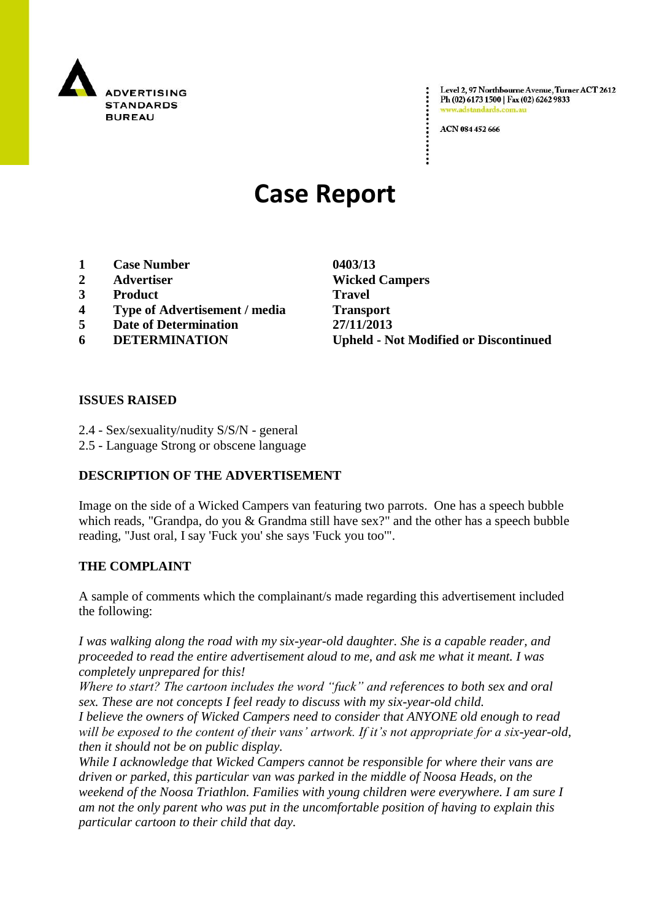

Level 2, 97 Northbourne Avenue, Turner ACT 2612 Ph (02) 6173 1500 | Fax (02) 6262 9833 v.adstandards.c

ACN 084 452 666

# **Case Report**

- **1 Case Number 0403/13**
- 
- **3 Product Travel**
- **4 Type of Advertisement / media Transport**
- **5 Date of Determination 27/11/2013**
- 

**2 Advertiser Wicked Campers 6 DETERMINATION Upheld - Not Modified or Discontinued**

#### **ISSUES RAISED**

- 2.4 Sex/sexuality/nudity S/S/N general
- 2.5 Language Strong or obscene language

## **DESCRIPTION OF THE ADVERTISEMENT**

Image on the side of a Wicked Campers van featuring two parrots. One has a speech bubble which reads, "Grandpa, do you & Grandma still have sex?" and the other has a speech bubble reading, "Just oral, I say 'Fuck you' she says 'Fuck you too'".

## **THE COMPLAINT**

A sample of comments which the complainant/s made regarding this advertisement included the following:

*I was walking along the road with my six-year-old daughter. She is a capable reader, and proceeded to read the entire advertisement aloud to me, and ask me what it meant. I was completely unprepared for this!*

*Where to start? The cartoon includes the word "fuck" and references to both sex and oral sex. These are not concepts I feel ready to discuss with my six-year-old child. I believe the owners of Wicked Campers need to consider that ANYONE old enough to read will be exposed to the content of their vans' artwork. If it's not appropriate for a six-year-old, then it should not be on public display.*

*While I acknowledge that Wicked Campers cannot be responsible for where their vans are driven or parked, this particular van was parked in the middle of Noosa Heads, on the weekend of the Noosa Triathlon. Families with young children were everywhere. I am sure I am not the only parent who was put in the uncomfortable position of having to explain this particular cartoon to their child that day.*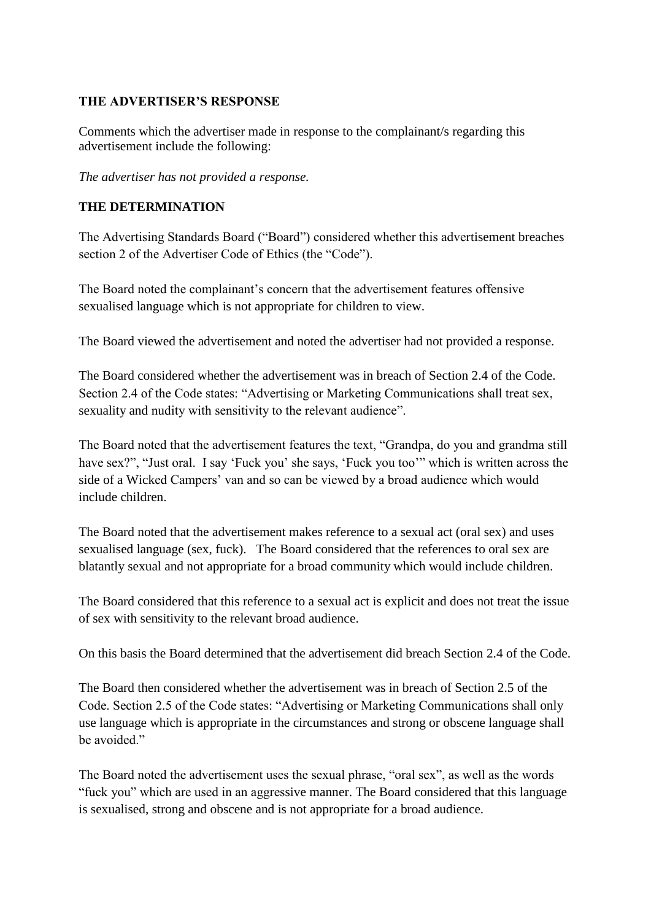#### **THE ADVERTISER'S RESPONSE**

Comments which the advertiser made in response to the complainant/s regarding this advertisement include the following:

*The advertiser has not provided a response.*

## **THE DETERMINATION**

The Advertising Standards Board ("Board") considered whether this advertisement breaches section 2 of the Advertiser Code of Ethics (the "Code").

The Board noted the complainant"s concern that the advertisement features offensive sexualised language which is not appropriate for children to view.

The Board viewed the advertisement and noted the advertiser had not provided a response.

The Board considered whether the advertisement was in breach of Section 2.4 of the Code. Section 2.4 of the Code states: "Advertising or Marketing Communications shall treat sex, sexuality and nudity with sensitivity to the relevant audience".

The Board noted that the advertisement features the text, "Grandpa, do you and grandma still have sex?", "Just oral. I say 'Fuck you' she says, 'Fuck you too'" which is written across the side of a Wicked Campers' van and so can be viewed by a broad audience which would include children.

The Board noted that the advertisement makes reference to a sexual act (oral sex) and uses sexualised language (sex, fuck). The Board considered that the references to oral sex are blatantly sexual and not appropriate for a broad community which would include children.

The Board considered that this reference to a sexual act is explicit and does not treat the issue of sex with sensitivity to the relevant broad audience.

On this basis the Board determined that the advertisement did breach Section 2.4 of the Code.

The Board then considered whether the advertisement was in breach of Section 2.5 of the Code. Section 2.5 of the Code states: "Advertising or Marketing Communications shall only use language which is appropriate in the circumstances and strong or obscene language shall be avoided."

The Board noted the advertisement uses the sexual phrase, "oral sex", as well as the words "fuck you" which are used in an aggressive manner. The Board considered that this language is sexualised, strong and obscene and is not appropriate for a broad audience.